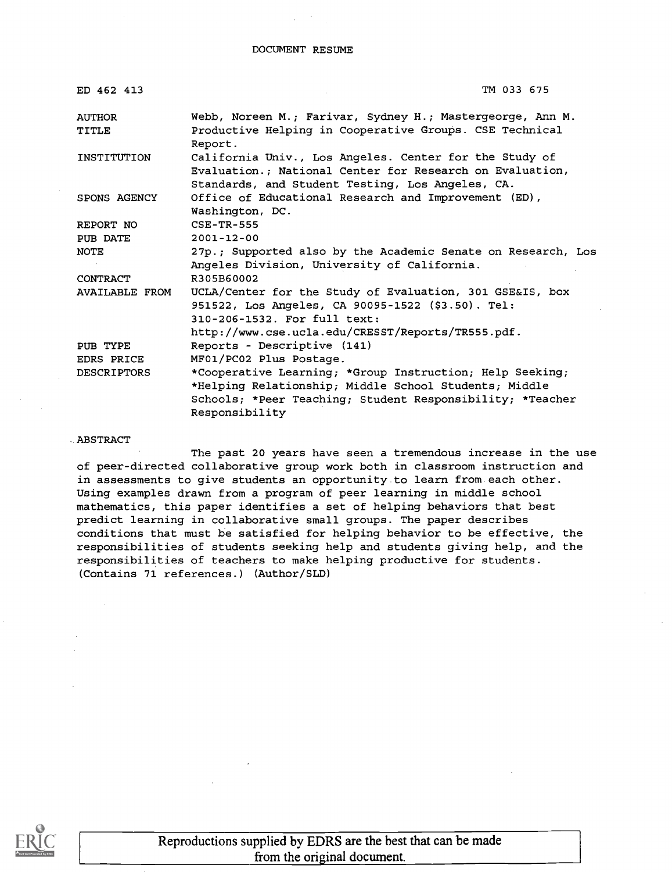| ED 462 413         | TM 033 675                                                                                                                                                             |
|--------------------|------------------------------------------------------------------------------------------------------------------------------------------------------------------------|
| AUTHOR             | Webb, Noreen M.; Farivar, Sydney H.; Mastergeorge, Ann M.                                                                                                              |
| TITLE              | Productive Helping in Cooperative Groups. CSE Technical<br>Report.                                                                                                     |
| INSTITUTION        | California Univ., Los Angeles. Center for the Study of<br>Evaluation.; National Center for Research on Evaluation,<br>Standards, and Student Testing, Los Angeles, CA. |
| SPONS AGENCY       | Office of Educational Research and Improvement (ED),<br>Washington, DC.                                                                                                |
| REPORT NO          | $CSE - TR - 555$                                                                                                                                                       |
| PUB DATE           | $2001 - 12 - 00$                                                                                                                                                       |
| NOTE               | 27p.; Supported also by the Academic Senate on Research, Los<br>Angeles Division, University of California.                                                            |
| CONTRACT           | R305B60002                                                                                                                                                             |
| AVAILABLE FROM     | UCLA/Center for the Study of Evaluation, 301 GSE&IS, box<br>951522, Los Angeles, CA 90095-1522 (\$3.50). Tel:<br>310-206-1532. For full text:                          |
|                    | http://www.cse.ucla.edu/CRESST/Reports/TR555.pdf.                                                                                                                      |
| PUB TYPE           | Reports - Descriptive (141)                                                                                                                                            |
| EDRS PRICE         | MF01/PC02 Plus Postage.                                                                                                                                                |
| <b>DESCRIPTORS</b> | *Cooperative Learning; *Group Instruction; Help Seeking;                                                                                                               |
|                    | *Helping Relationship; Middle School Students; Middle                                                                                                                  |
|                    | Schools; *Peer Teaching; Student Responsibility; *Teacher                                                                                                              |
|                    | Responsibility                                                                                                                                                         |

..ABSTRACT

The past 20 years have seen a tremendous increase in the use of peer-directed collaborative group work both in classroom instruction and in assessments to give students an opportunity to learn from each other. Using examples drawn from a program of peer learning in middle school mathematics, this paper identifies a set of helping behaviors that best predict learning in collaborative small groups. The paper describes conditions that must be satisfied for helping behavior to be effective, the responsibilities of students seeking help and students giving help, and the responsibilities of teachers to make helping productive for students. (Contains 71 references.) (Author/SLD)



Reproductions supplied by EDRS are the best that can be made from the original document.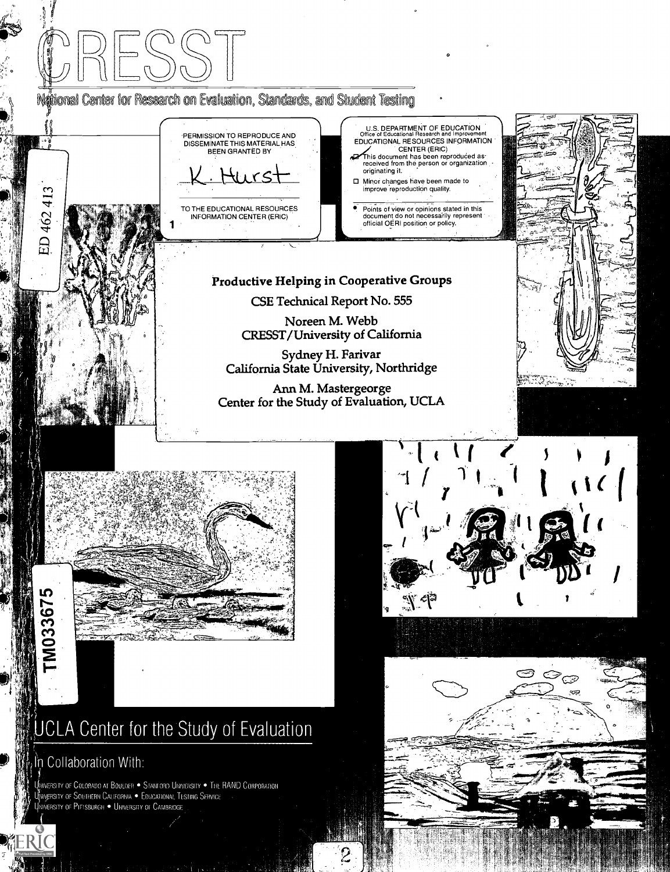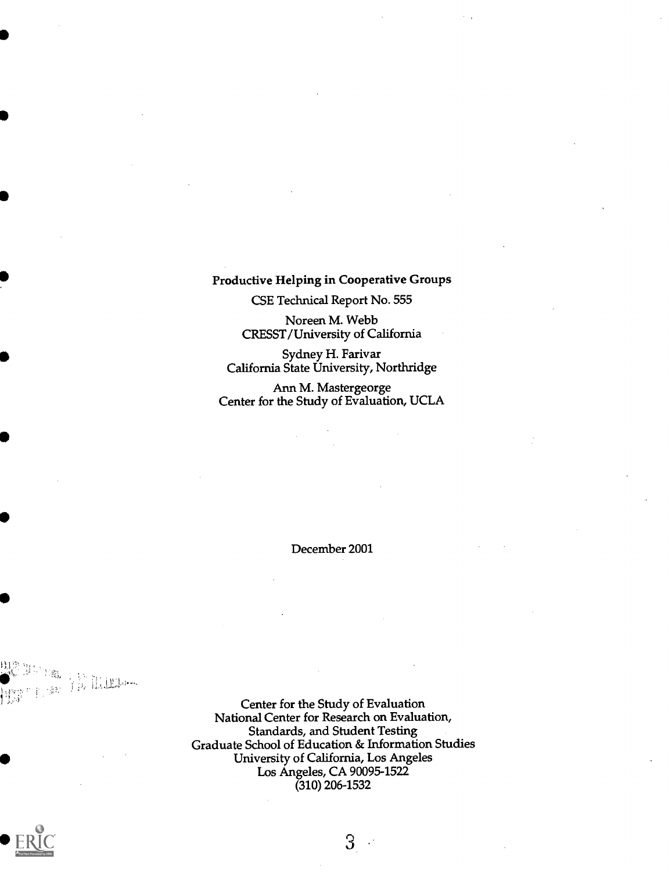## Productive Helping in Cooperative Groups

CSE Technical Report No. 555

Noreen M. Webb CRESST/University of California

Sydney H. Farivar California State University, Northridge

Ann M. Mastergeorge Center for the Study of Evaluation, UCLA

December 2001

I.ILPi Dr ・身行

Center for the Study of Evaluation National Center for Research on Evaluation, Standards, and Student Testing Graduate School of Education & Information Studies University of California, Los Angeles Los Angeles, CA 90095-1522 (310) 206-1532



**11** 

 $\mathcal{S}$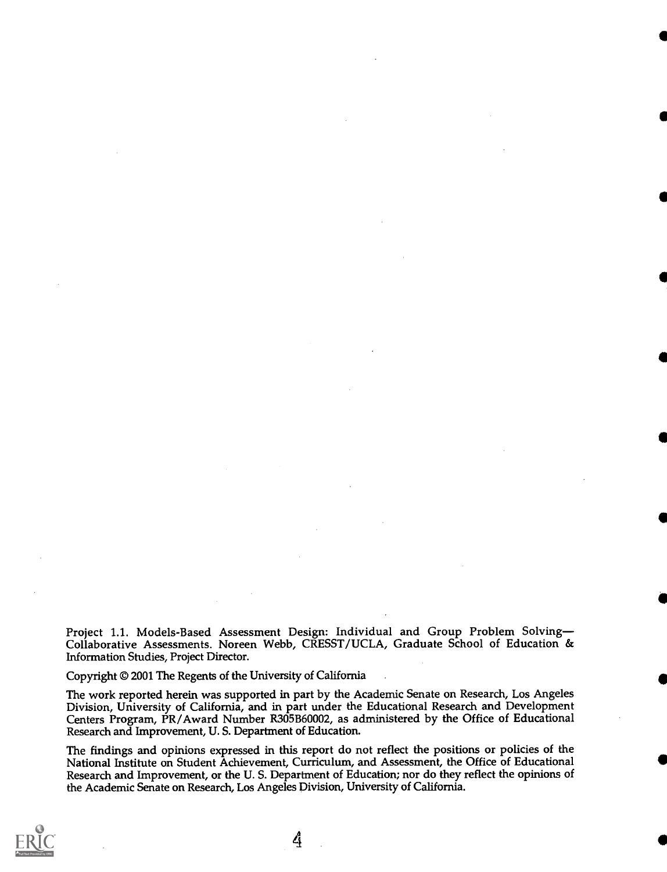Project 1.1. Models-Based Assessment Design: Individual and Group Problem Solving—<br>Collaborative Assessments. Noreen Webb, CRESST/UCLA, Graduate School of Education & Information Studies, Project Director.

Copyright 2001 The Regents of the University of California

The work reported herein was supported in part by the Academic Senate on Research, Los Angeles Division, University of California, and in part under the Educational Research and Development Centers Program, PR/Award Number R305B60002, as administered by the Office of Educational Research and Improvement, U. S. Department of Education.

The findings and opinions expressed in this report do not reflect the positions or policies of the National Institute on Student Achievement, Curriculum, and Assessment, the Office of Educational Research and Improvement, or the U. S. Department of Education; nor do they reflect the opinions of the Academic Senate on Research, Los Angeles Division, University of California.

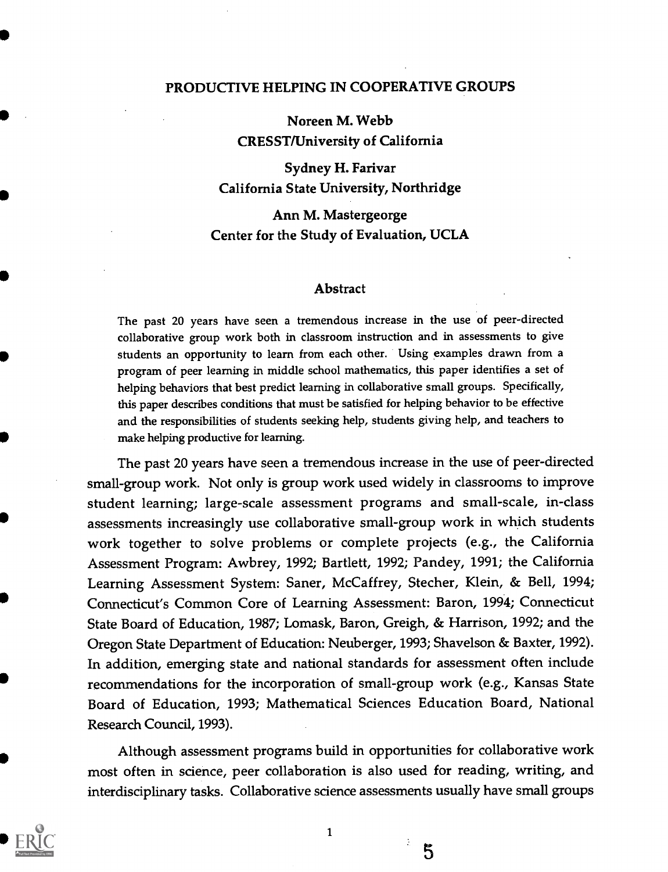### PRODUCTIVE HELPING IN COOPERATIVE GROUPS

Noreen M. Webb CRESST/University of California

Sydney H. Farivar California State University, Northridge

# Ann M. Mastergeorge Center for the Study of Evaluation, UCLA

#### **Abstract**

The past 20 years have seen a tremendous increase in the use of peer-directed collaborative group work both in classroom instruction and in assessments to give students an opportunity to learn from each other. Using examples drawn from a program of peer learning in middle school mathematics, this paper identifies a set of helping behaviors that best predict learning in collaborative small groups. Specifically, this paper describes conditions that must be satisfied for helping behavior to be effective and the responsibilities of students seeking help, students giving help, and teachers to make helping productive for learning.

The past 20 years have seen a tremendous increase in the use of peer-directed small-group work. Not only is group work used widely in classrooms to improve student learning; large-scale assessment programs and small-scale, in-class assessments increasingly use collaborative small-group work in which students work together to solve problems or complete projects (e.g., the California Assessment Program: Awbrey, 1992; Bartlett, 1992; Pandey, 1991; the California Learning Assessment System: Saner, McCaffrey, Stecher, Klein, & Bell, 1994; Connecticut's Common Core of Learning Assessment: Baron, 1994; Connecticut State Board of Education, 1987; Lomask, Baron, Greigh, & Harrison, 1992; and the Oregon State Department of Education: Neuberger, 1993; Shavelson & Baxter, 1992). In addition, emerging state and national standards for assessment often include recommendations for the incorporation of small-group work (e.g., Kansas State Board of Education, 1993; Mathematical Sciences Education Board, National Research Council, 1993).

Although assessment programs build in opportunities for collaborative work most often in science, peer collaboration is also used for reading, writing, and interdisciplinary tasks. Collaborative science assessments usually have small groups



1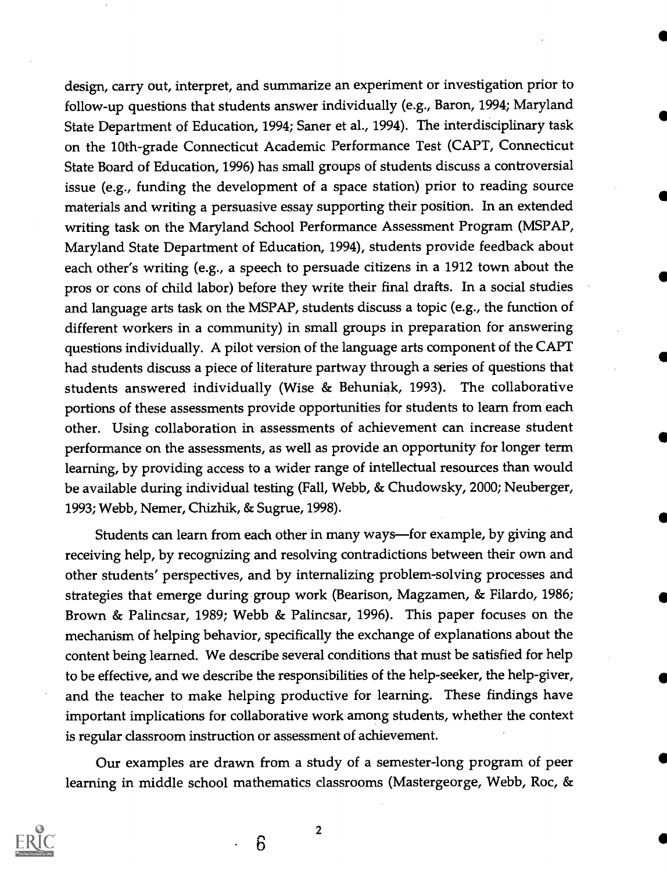design, carry out, interpret, and summarize an experiment or investigation prior to follow-up questions that students answer individually (e.g., Baron, 1994; Maryland State Department of Education, 1994; Saner et al., 1994). The interdisciplinary task on the 10th-grade Connecticut Academic Performance Test (CAPT, Connecticut State Board of Education, 1996) has small groups of students discuss a controversial issue (e.g., funding the development of a space station) prior to reading source materials and writing a persuasive essay supporting their position. In an extended writing task on the Maryland School Performance Assessment Program (MSPAP, Maryland State Department of Education, 1994), students provide feedback about each other's writing (e.g., a speech to persuade citizens in a 1912 town about the pros or cons of child labor) before they write their final drafts. In a social studies and language arts task on the MSPAP, students discuss a topic (e.g., the function of different workers in a community) in small groups in preparation for answering questions individually. A pilot version of the language arts component of the CAPT had students discuss a piece of literature partway through a series of questions that students answered individually (Wise & Behuniak, 1993). The collaborative portions of these assessments provide opportunities for students to learn from each other. Using collaboration in assessments of achievement can increase student performance on the assessments, as well as provide an opportunity for longer term learning, by providing access to a wider range of intellectual resources than would be available during individual testing (Fall, Webb, & Chudowsky, 2000; Neuberger, 1993; Webb, Nemer, Chizhik, & Sugrue, 1998).

Students can learn from each other in many ways—for example, by giving and receiving help, by recognizing and resolving contradictions between their own and other students' perspectives, and by internalizing problem-solving processes and strategies that emerge during group work (Bearison, Magzamen, & Filardo, 1986; Brown & Palincsar, 1989; Webb & Palincsar, 1996). This paper focuses on the mechanism of helping behavior, specifically the exchange of explanations about the content being learned. We describe several conditions that must be satisfied for help to be effective, and we describe the responsibilities of the help-seeker, the help-giver, and the teacher to make helping productive for learning. These findings have important implications for collaborative work among students, whether the context is regular dassroom instruction or assessment of achievement.

Our examples are drawn from a study of a semester-long program of peer learning in middle school mathematics classrooms (Mastergeorge, Webb, Roc, &



2

 $6\overline{6}$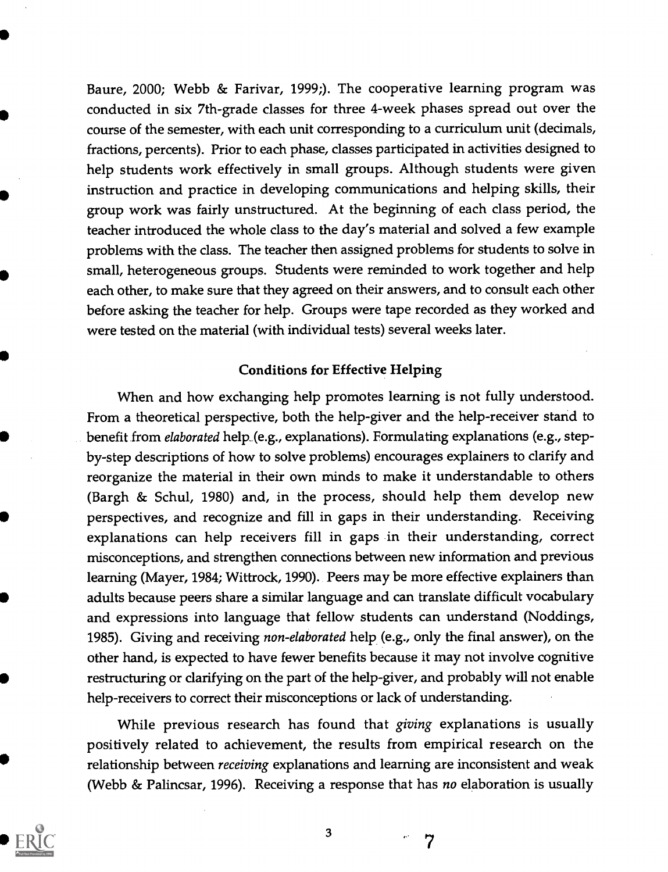Baure, 2000; Webb & Farivar, 1999;). The cooperative learning program was conducted in six 7th-grade classes for three 4-week phases spread out over the course of the semester, with each unit corresponding to a curriculum unit (decimals, fractions, percents). Prior to each phase, classes participated in activities designed to help students work effectively in small groups. Although students were given instruction and practice in developing communications and helping skills, their group work was fairly unstructured. At the beginning of each class period, the teacher introduced the whole class to the day's material and solved a few example problems with the class. The teacher then assigned problems for students to solve in small, heterogeneous groups. Students were reminded to work together and help each other, to make sure that they agreed on their answers, and to consult each other before asking the teacher for help. Groups were tape recorded as they worked and were tested on the material (with individual tests) several weeks later.

#### Conditions for Effective Helping

When and how exchanging help promotes learning is not fully understood. From a theoretical perspective, both the help-giver and the help-receiver stand to benefit from elaborated help.(e.g., explanations). Formulating explanations (e.g., stepby-step descriptions of how to solve problems) encourages explainers to clarify and reorganize the material in their own minds to make it understandable to others (Bargh & Schul, 1980) and, in the process, should help them develop new perspectives, and recognize and fill in gaps in their understanding. Receiving explanations can help receivers fill in gaps in their understanding, correct misconceptions, and strengthen connections between new information and previous learning (Mayer, 1984; Wittrock, 1990). Peers may be more effective explainers than adults because peers share a similar language and can translate difficult vocabulary and expressions into language that fellow students can understand (Noddings, 1985). Giving and receiving non-elaborated help (e.g., only the final answer), on the other hand, is expected to have fewer benefits because it may not involve cognitive restructuring or darifying on the part of the help-giver, and probably will not enable help-receivers to correct their misconceptions or lack of understanding.

 $\bullet$   $\bullet$   $\bullet$ While previous research has found that *giving* explanations is usually positively related to achievement, the results from empirical research on the relationship between *receiving* explanations and learning are inconsistent and weak (Webb & Palincsar, 1996). Receiving a response that has no elaboration is usually



 $\bullet$  and  $\bullet$ 

 $\bullet$  and  $\bullet$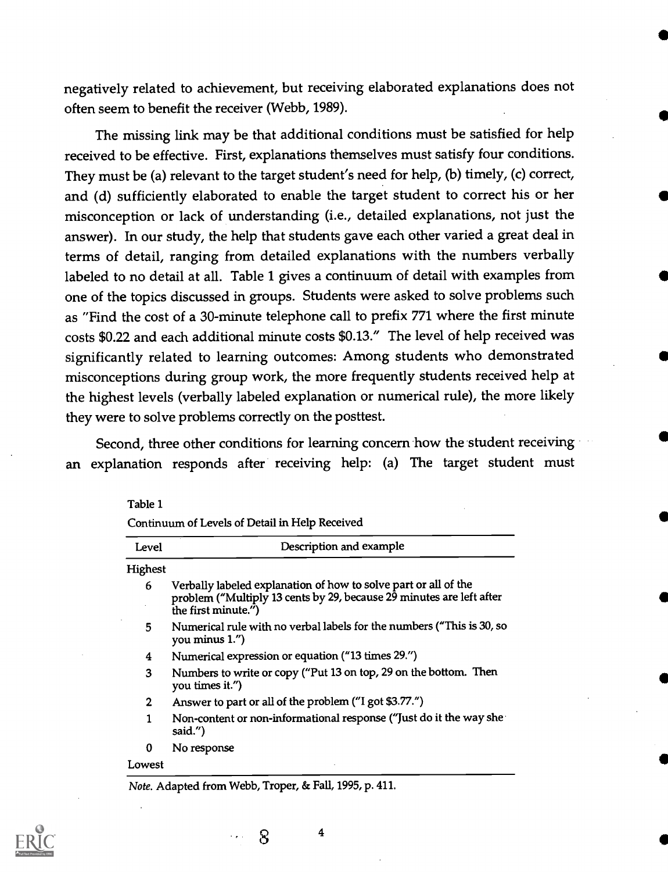negatively related to achievement, but receiving elaborated explanations does not often seem to benefit the receiver (Webb, 1989).

The missing link may be that additional conditions must be satisfied for help received to be effective. First, explanations themselves must satisfy four conditions. They must be (a) relevant to the target student's need for help, (b) timely, (c) correct, and (d) sufficiently elaborated to enable the target student to correct his or her misconception or lack of understanding (i.e., detailed explanations, not just the answer). In our study, the help that students gave each other varied a great deal in terms of detail, ranging from detailed explanations with the numbers verbally labeled to no detail at all. Table 1 gives a continuum of detail with examples from one of the topics discussed in groups. Students were asked to solve problems such as "Find the cost of a 30-minute telephone call to prefix 771 where the first minute costs \$0.22 and each additional minute costs \$0.13." The level of help received was significantly related to learning outcomes: Among students who demonstrated misconceptions during group work, the more frequently students received help at the highest levels (verbally labeled explanation or numerical rule), the more likely they were to solve problems correctly on the posttest.

Second, three other conditions for learning concern how the student receiving an explanation responds after receiving help: (a) The target student must

| Continuum of Levels of Detail in Help Received |                                                                                                                                                                |  |
|------------------------------------------------|----------------------------------------------------------------------------------------------------------------------------------------------------------------|--|
| Level                                          | Description and example                                                                                                                                        |  |
| Highest                                        |                                                                                                                                                                |  |
| 6                                              | Verbally labeled explanation of how to solve part or all of the<br>problem ("Multiply 13 cents by 29, because 29 minutes are left after<br>the first minute.") |  |
| 5                                              | Numerical rule with no verbal labels for the numbers ("This is 30, so<br>you minus $1.'$ )                                                                     |  |
| 4                                              | Numerical expression or equation ("13 times 29.")                                                                                                              |  |
| 3                                              | Numbers to write or copy ("Put 13 on top, 29 on the bottom. Then<br>you times it.")                                                                            |  |
| 2                                              | Answer to part or all of the problem ("I got \$3.77.")                                                                                                         |  |
| 1                                              | Non-content or non-informational response ("Just do it the way she<br>said.")                                                                                  |  |
| 0                                              | No response                                                                                                                                                    |  |
| Lowest                                         |                                                                                                                                                                |  |

 $\blacksquare$ 

411

Note. Adapted from Webb, Troper, & Fall, 1995, p. 411.

Table 1



8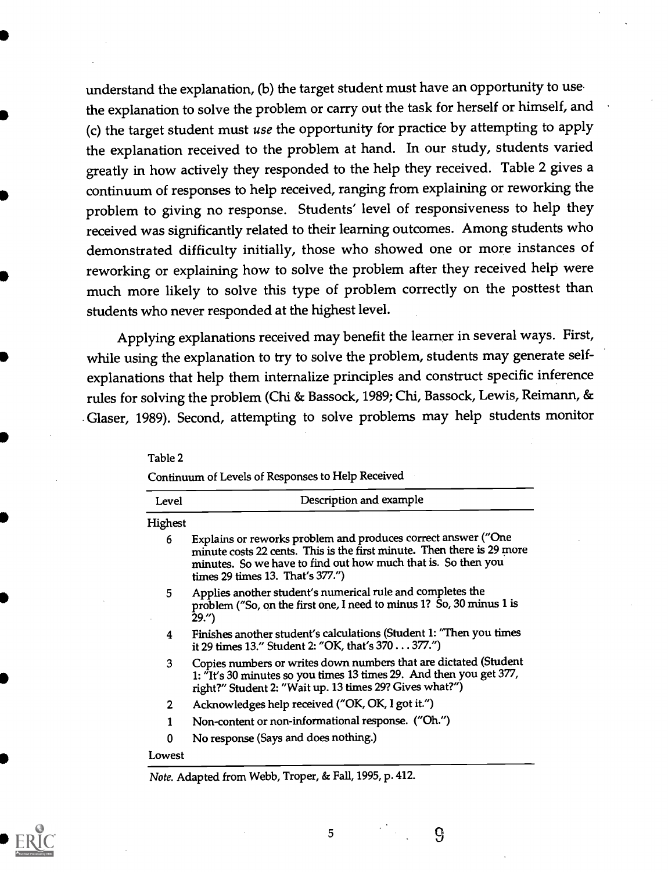understand the explanation, (b) the target student must have an opportunity to use the explanation to solve the problem or carry out the task for herself or himself, and (c) the target student must use the opportunity for practice by attempting to apply the explanation received to the problem at hand. In our study, students varied greatly in how actively they responded to the help they received. Table 2 gives a continuum of responses to help received, ranging from explaining or reworking the problem to giving no response. Students' level of responsiveness to help they received was significantly related to their learning outcomes. Among students who demonstrated difficulty initially, those who showed one or more instances of reworking or explaining how to solve the problem after they received help were much more likely to solve this type of problem correctly on the posttest than students who never responded at the highest level.

Applying explanations received may benefit the learner in several ways. First, while using the explanation to try to solve the problem, students may generate selfexplanations that help them internalize principles and construct specific inference rules for solving the problem (Chi & Bassock, 1989; Chi, Bassock, Lewis, Reimann, & Glaser, 1989). Second, attempting to solve problems may help students monitor

Table 2

Continuum of Levels of Responses to Help Received

| Level   | Description and example                                                                                                                                                                                                                      |
|---------|----------------------------------------------------------------------------------------------------------------------------------------------------------------------------------------------------------------------------------------------|
| Highest |                                                                                                                                                                                                                                              |
| 6       | Explains or reworks problem and produces correct answer ("One<br>minute costs 22 cents. This is the first minute. Then there is 29 more<br>minutes. So we have to find out how much that is. So then you<br>times 29 times 13. That's 377.") |
| 5       | Applies another student's numerical rule and completes the<br>problem ("So, on the first one, I need to minus 1? So, 30 minus 1 is<br>29.'')                                                                                                 |
| 4       | Finishes another student's calculations (Student 1: "Then you times<br>it 29 times 13." Student 2: "OK, that's 370 377.")                                                                                                                    |
| 3       | Copies numbers or writes down numbers that are dictated (Student<br>1: "It's 30 minutes so you times 13 times 29. And then you get 377,<br>right?" Student 2: "Wait up. 13 times 29? Gives what?")                                           |
| 2       | Acknowledges help received ("OK, OK, I got it.")                                                                                                                                                                                             |
| 1       | Non-content or non-informational response. ("Oh.")                                                                                                                                                                                           |
| 0       | No response (Says and does nothing.)                                                                                                                                                                                                         |
| Lowest  |                                                                                                                                                                                                                                              |

Note. Adapted from Webb, Troper, & Fall, 1995, p. 412.



5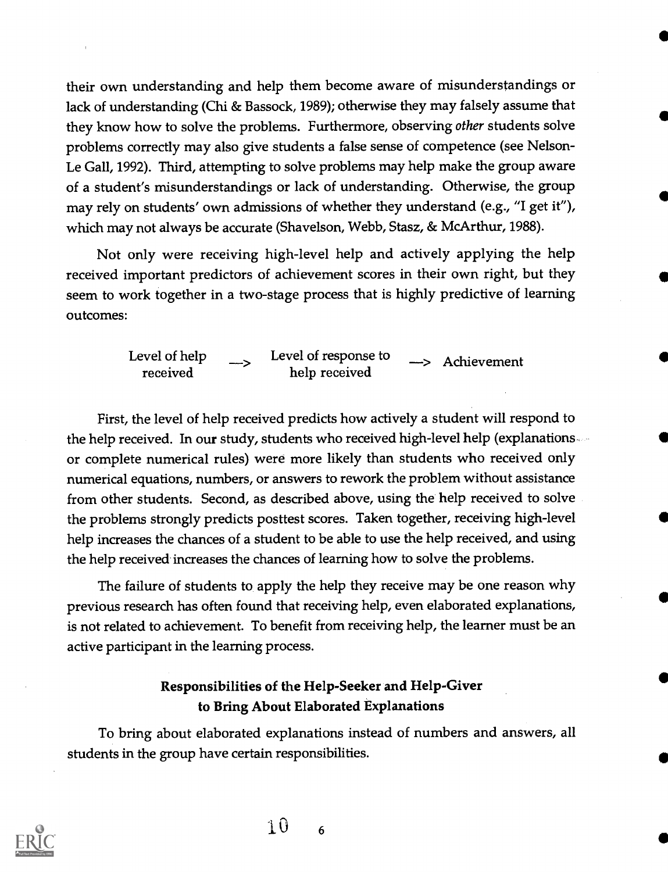their own understanding and help them become aware of misunderstandings or lack of understanding (Chi & Bassock, 1989); otherwise they may falsely assume that they know how to solve the problems. Furthermore, observing other students solve problems correctly may also give students a false sense of competence (see Nelson-Le Gall, 1992). Third, attempting to solve problems may help make the group aware of a student's misunderstandings or lack of understanding. Otherwise, the group may rely on students' own admissions of whether they understand (e.g., "I get it"), which may not always be accurate (Shavelson, Webb, Stasz, & McArthur, 1988).

Not only were receiving high-level help and actively applying the help received important predictors of achievement scores in their own right, but they seem to work together in a two-stage process that is highly predictive of learning outcomes:

> Level of help  $\rule{1em}{0.15mm}$  Level of response to help received help received > Achievement

First, the level of help received predicts how actively a student will respond to the help received. In our study, students who received high-level help (explanations or complete numerical rules) were more likely than students who received only numerical equations, numbers, or answers to rework the problem without assistance from other students. Second, as described above, using the help received to solve the problems strongly predicts posttest scores. Taken together, receiving high-level help increases the chances of a student to be able to use the help received, and using the help received increases the chances of learning how to solve the problems.

The failure of students to apply the help they receive may be one reason why previous research has often found that receiving help, even elaborated explanations, is not related to achievement. To benefit from receiving help, the learner must be an active participant in the learning process.

# Responsibilities of the Help-Seeker and Help-Giver to Bring About Elaborated Explanations

To bring about elaborated explanations instead of numbers and answers, all students in the group have certain responsibilities.

6

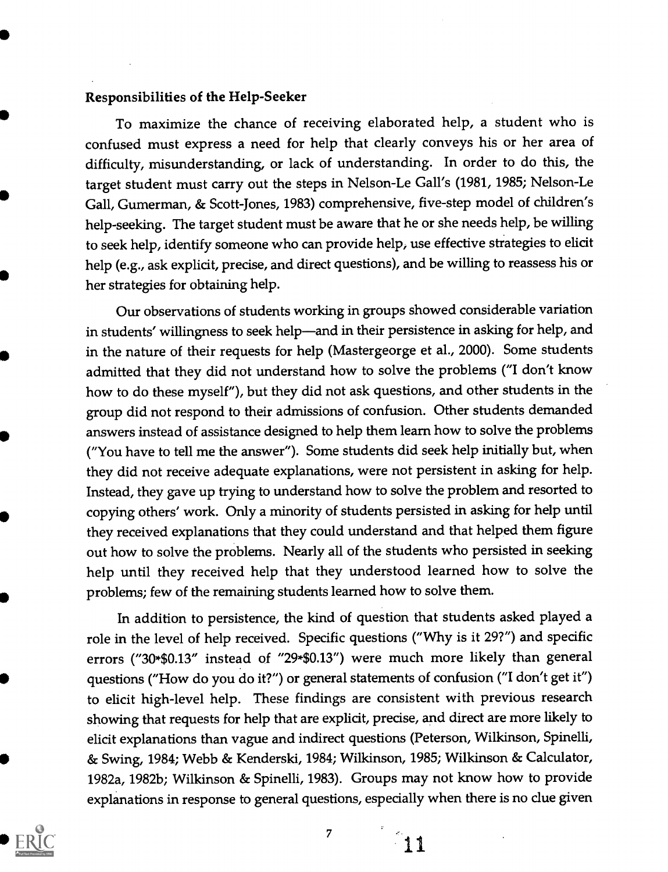### Responsibilities of the Help-Seeker

To maximize the chance of receiving elaborated help, a student who is confused must express a need for help that clearly conveys his or her area of difficulty, misunderstanding, or lack of understanding. In order to do this, the target student must carry out the steps in Nelson-Le Gall's (1981, 1985; Nelson-Le Gall, Gumerman, & Scott-Jones, 1983) comprehensive, five-step model of children's help-seeking. The target student must be aware that he or she needs help, be willing to seek help, identify someone who can provide help, use effective strategies to elicit help (e.g., ask explicit, precise, and direct questions), and be willing to reassess his or her strategies for obtaining help.

Our observations of students working in groups showed considerable variation in students' willingness to seek help—and in their persistence in asking for help, and in the nature of their requests for help (Mastergeorge et al., 2000). Some students admitted that they did not understand how to solve the problems ("I don't know how to do these myself"), but they did not ask questions, and other students in the group did not respond to their admissions of confusion. Other students demanded answers instead of assistance designed to help themlearn how to solve the problems ("You have to tell me the answer"). Some students did seek help initially but, when they did not receive adequate explanations, were not persistent in asking for help. Instead, they gave up trying to understand how to solve the problem and resorted to copying others' work. Only a minority of students persisted in asking for help until they received explanations that they could understand and that helped them figure out how to solve the problems. Nearly all of the students who persisted in seeking help until they received help that they understood learned how to solve the problems; few of the remaining students learned how to solve them.

In addition to persistence, the kind of question that students asked played a role in the level of help received. Specific questions ("Why is it 29?") and specific errors ("30\*\$0.13" instead of "29\*\$0.13") were much more likely than general questions ("How do you do it?") or general statements of confusion ("I don't get it") to elicit high-level help. These findings are consistent with previous research showing that requests for help that are explicit, precise, and direct are more likely to elicit explanations than vague and indirect questions (Peterson, Wilkinson, Spinelli, & Swing, 1984; Webb & Kenderski, 1984; Wilkinson, 1985; Wilkinson & Calculator, 1982a, 1982b; Wilkinson & Spinelli, 1983). Groups may not know how to provide explanations in response to general questions, especially when there is no clue given



11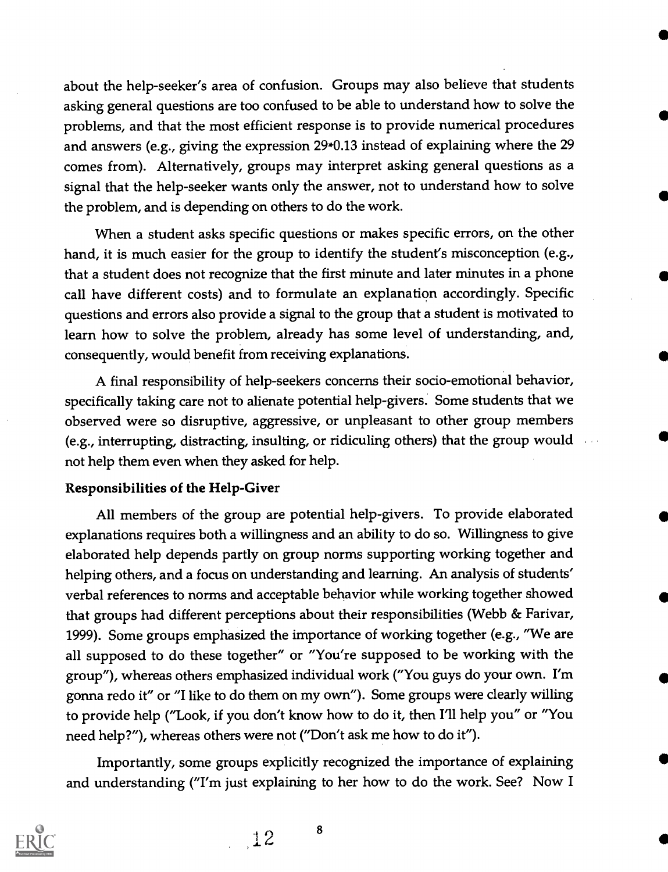about the help-seeker's area of confusion. Groups may also believe that students asking general questions are too confused to be able to understand how to solve the problems, and that the most efficient response is to provide numerical procedures and answers (e.g., giving the expression 29\*0.13 instead of explaining where the 29 comes from). Alternatively, groups may interpret asking general questions as a signal that the help-seeker wants only the answer, not to understand how to solve the problem, and is depending on others to do the work.

When a student asks specific questions or makes specific errors, on the other hand, it is much easier for the group to identify the student's misconception (e.g., that a student does not recognize that the first minute and later minutes in a phone call have different costs) and to formulate an explanation accordingly. Specific questions and errors also provide a signal to the group that a student is motivated to learn how to solve the problem, already has some level of understanding, and, consequently, would benefit from receiving explanations.

A final responsibility of help-seekers concerns their socio-emotional behavior, specifically taking care not to alienate potential help-givers. Some students that we observed were so disruptive, aggressive, or unpleasant to other group members (e.g., interrupting, distracting, insulting, or ridiculing others) that the group would not help them even when they asked for help.

## Responsibilities of the Help-Giver

All members of the group are potential help-givers. To provide elaborated explanations requires both a willingness and an ability to do so. Willingness to give elaborated help depends partly on group norms supporting working together and helping others, and a focus on understanding and learning. An analysis of students' verbal references to norms and acceptable behavior while working together showed that groups had different perceptions about their responsibilities (Webb & Farivar, 1999). Some groups emphasized the importance of working together (e.g., "We are all supposed to do these together" or "You're supposed to be working with the group"), whereas others emphasized individual work ("You guys do your own. I'm gonna redo it" or "I like to do them on my own"). Some groups were clearly willing to provide help ("Look, if you don't know how to do it, then I'll help you" or "You need help?"), whereas others were not ("Don't ask me how to do it").

Importantly, some groups explicitly recognized the importance of explaining and understanding ("I'm just explaining to her how to do the work. See? Now I

8

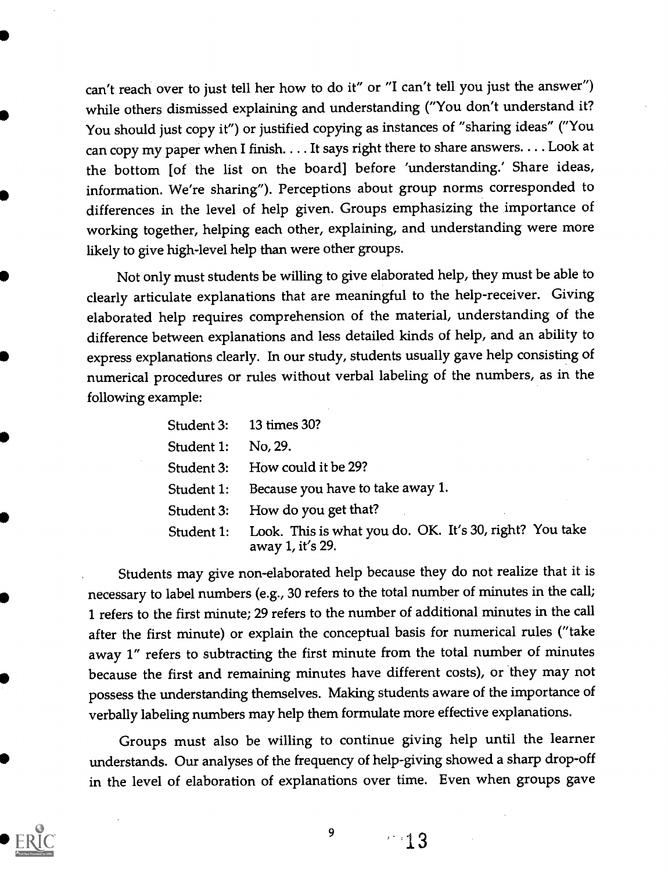can't reach over to just tell her how to do it" or "I can't tell you just the answer") while others dismissed explaining and understanding ("You don't understand it? You should just copy it") or justified copying as instances of "sharing ideas" ("You can copy my paper when I finish. . . . It says right there to share answers. . . . Look at the bottom [of the list on the board] before 'understanding.' Share ideas, information. We're sharing"). Perceptions about group norms corresponded to differences in the level of help given. Groups emphasizing the importance of working together, helping each other, explaining, and understanding were more likely to give high-level help than were other groups.

Not only must students be willing to give elaborated help, they must be able to clearly articulate explanations that are meaningful to the help-receiver. Giving elaborated help requires comprehension of the material, understanding of the difference between explanations and less detailed kinds of help, and an ability to express explanations clearly. In our study, students usually gave help consisting of numerical procedures or rules without verbal labeling of the numbers, as in the following example:

| Student 3: 13 times 30? |                                                                             |
|-------------------------|-----------------------------------------------------------------------------|
| Student 1:              | No. 29.                                                                     |
| Student 3:              | How could it be 29?                                                         |
|                         | Student 1: Because you have to take away 1.                                 |
|                         | Student 3: How do you get that?                                             |
| Student 1:              | Look. This is what you do. OK. It's 30, right? You take<br>away 1, it's 29. |

Students may give non-elaborated help because they do not realize that it is necessary to label numbers (e.g., 30 refers to the total number of minutes in the call; 1 refers to the first minute; 29 refers to the number of additional minutes in the call after the first minute) or explain the conceptual basis for numerical rules ("take away 1" refers to subtracting the first minute from the total number of minutes because the first and remaining minutes have different costs), or they may not possess the understanding themselves. Making students aware of the importance of verbally labeling numbers may help them formulate more effective explanations.

Groups must also be willing to continue giving help until the learner understands. Our analyses of the frequency of help-giving showed a sharp drop-off in the level of elaboration of explanations over time. Even when groups gave

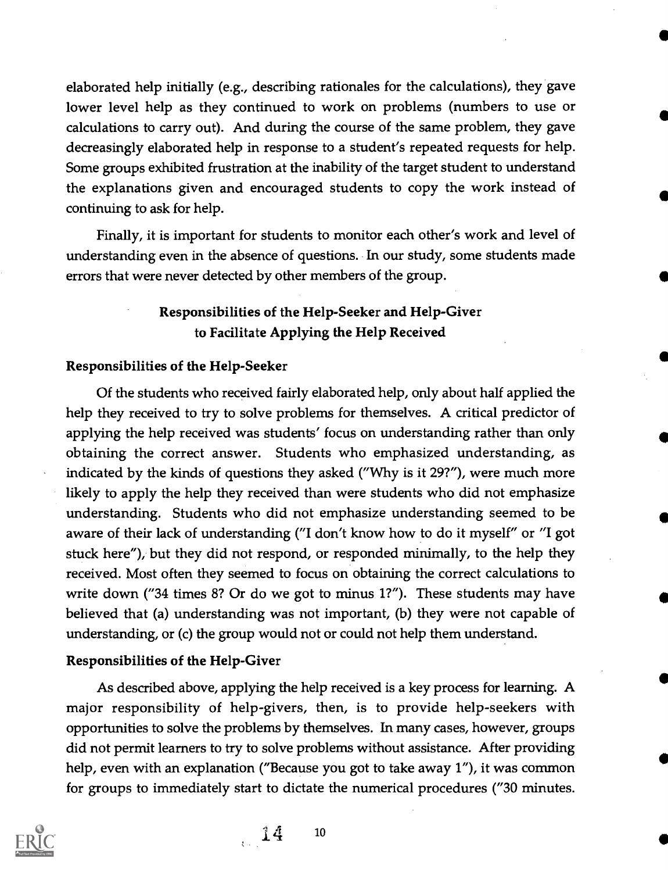elaborated help initially (e.g., describing rationales for the calculations), they gave lower level help as they continued to work on problems (numbers to use or calculations to carry out). And during the course of the same problem, they gave decreasingly elaborated help in response to a student's repeated requests for help. Some groups exhibited frustration at the inability of the target student to understand the explanations given and encouraged students to copy the work instead of continuing to ask for help.

Finally, it is important for students to monitor each other's work and level of understanding even in the absence of questions. In our study, some students made errors that were never detected by other members of the group.

# Responsibilities of the Help-Seeker and Help-Giver to Facilitate Applying the Help Received

## Responsibilities of the Help-Seeker

Of the students who received fairly elaborated help, only about half applied the help they received to try to solve problems for themselves. A critical predictor of applying the help received was students' focus on understanding rather than only obtaining the correct answer. Students who emphasized understanding, as indicated by the kinds of questions they asked ("Why is it 29?"), were much more likely to apply the help they received than were students who did not emphasize understanding. Students who did not emphasize understanding seemed to be aware of their lack of understanding ("I don't know how to do it myself" or "I got stuck here"), but they did not respond, or responded minimally, to the help they received. Most often they seemed to focus on obtaining the correct calculations to write down ("34 times 8? Or do we got to minus 1?"). These students may have believed that (a) understanding was not important, (b) they were not capable of understanding, or (c) the group would not or could not help them understand.

#### Responsibilities of the Help-Giver

As described above, applying the help received is a key process for learning. A major responsibility of help-givers, then, is to provide help-seekers with opportunities to solve the problems by themselves. In many cases, however, groups did not permit learners to try to solve problems without assistance. After providing help, even with an explanation ("Because you got to take away 1"), it was common for groups to immediately start to dictate the numerical procedures ("30 minutes.

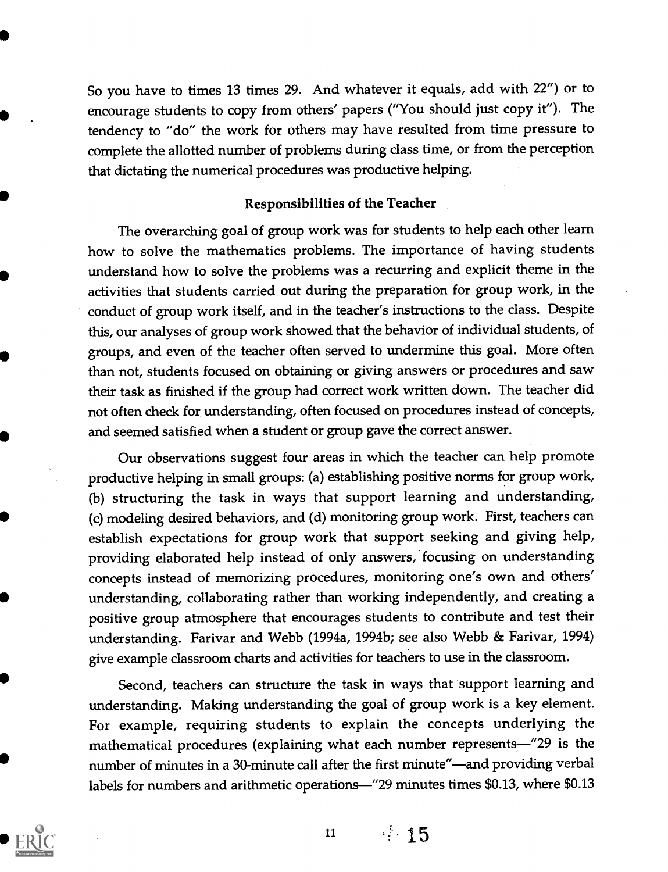So you have to times 13 times 29. And whatever it equals, add with 22") or to encourage students to copy from others' papers ("You should just copy it"). The tendency to "do" the work for others may have resulted from time pressure to complete the allotted number of problems during class time, or from the perception that dictating the numerical procedures was productive helping.

#### Responsibilities of the Teacher

The overarching goal of group work was for students to help each other learn how to solve the mathematics problems. The importance of having students understand how to solve the problems was a recurring and explicit theme in the activities that students carried out during the preparation for group work, in the conduct of group work itself, and in the teacher's instructions to the class. Despite this, our analyses of group work showed that the behavior of individual students, of groups, and even of the teacher often served to undermine this goal. More often than not, students focused on obtaining or giving answers or procedures and saw their task as finished if the group had correct work written down. The teacher did not often check for understanding, often focused on procedures instead of concepts, and seemed satisfied when a student or group gave the correct answer.

Our observations suggest four areas in which the teacher can help promote productive helping in small groups: (a) establishing positive norms for group work, (b) structuring the task in ways that support learning and understanding, (c) modeling desired behaviors, and (d) monitoring group work. First, teachers can establish expectations for group work that support seeking and giving help, providing elaborated help instead of only answers, focusing on understanding concepts instead of memorizing procedures, monitoring one's own and others' understanding, collaborating rather than working independently, and creating a positive group atmosphere that encourages students to contribute and test their understanding. Farivar and Webb (1994a, 1994b; see also Webb & Farivar, 1994) give example classroom charts and activities for teachers to use in the classroom.

Second, teachers can structure the task in ways that support learning and understanding. Making understanding the goal of group work is a key element. For example, requiring students to explain the concepts underlying the mathematical procedures (explaining what each number represents—"29 is the number of minutes in a 30-minute call after the first minute"—and providing verbal labels for numbers and arithmetic operations-"29 minutes times \$0.13, where \$0.13



<sup>11</sup> 15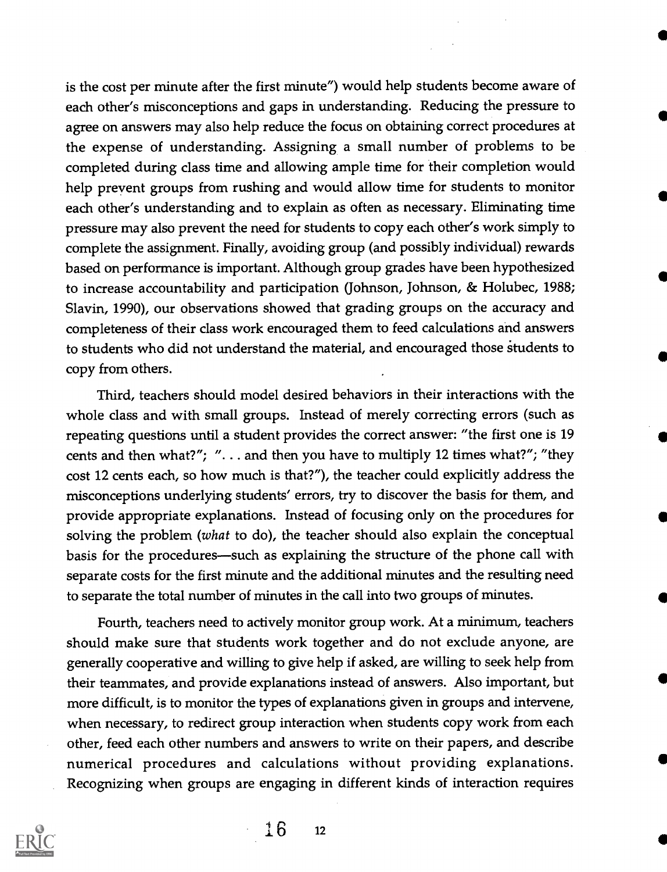is the cost per minute after the first minute") would help students become aware of each other's misconceptions and gaps in understanding. Reducing the pressure to agree on answers may also help reduce the focus on obtaining correct procedures at the expense of understanding. Assigning a small number of problems to be completed during class time and allowing ample time for their completion would help prevent groups from rushing and would allow time for students to monitor each other's understanding and to explain as often as necessary. Eliminating time pressure may also prevent the need for students to copy each other's work simply to complete the assignment. Finally, avoiding group (and possibly individual) rewards based on performance is important. Although group grades have been hypothesized to increase accountability and participation (Johnson, Johnson, & Holubec, 1988; Slavin, 1990), our observations showed that grading groups on the accuracy and completeness of their class work encouraged them to feed calculations and answers to students who did not understand the material, and encouraged those students to copy from others.

Third, teachers should model desired behaviors in their interactions with the whole class and with small groups. Instead of merely correcting errors (such as repeating questions until a student provides the correct answer: "the first one is 19 cents and then what?"; ". . . and then you have to multiply 12 times what?"; "they cost 12 cents each, so how much is that?"), the teacher could explicitly address the misconceptions underlying students' errors, try to discover the basis for them, and provide appropriate explanations. Instead of focusing only on the procedures for solving the problem (what to do), the teacher should also explain the conceptual basis for the procedures—such as explaining the structure of the phone call with separate costs for the first minute and the additional minutes and the resulting need to separate the total number of minutes in the call into two groups of minutes.

Fourth, teachers need to actively monitor group work. At a minimum, teachers should make sure that students work together and do not exclude anyone, are generally cooperative and willing to give help if asked, are willing to seek help from their teammates, and provide explanations instead of answers. Also important, but more difficult, is to monitor the types of explanations given in groups and intervene, when necessary, to redirect group interaction when students copy work from each other, feed each other numbers and answers to write on their papers, and describe numerical procedures and calculations without providing explanations. Recognizing when groups are engaging in different kinds of interaction requires



 $6^{12}$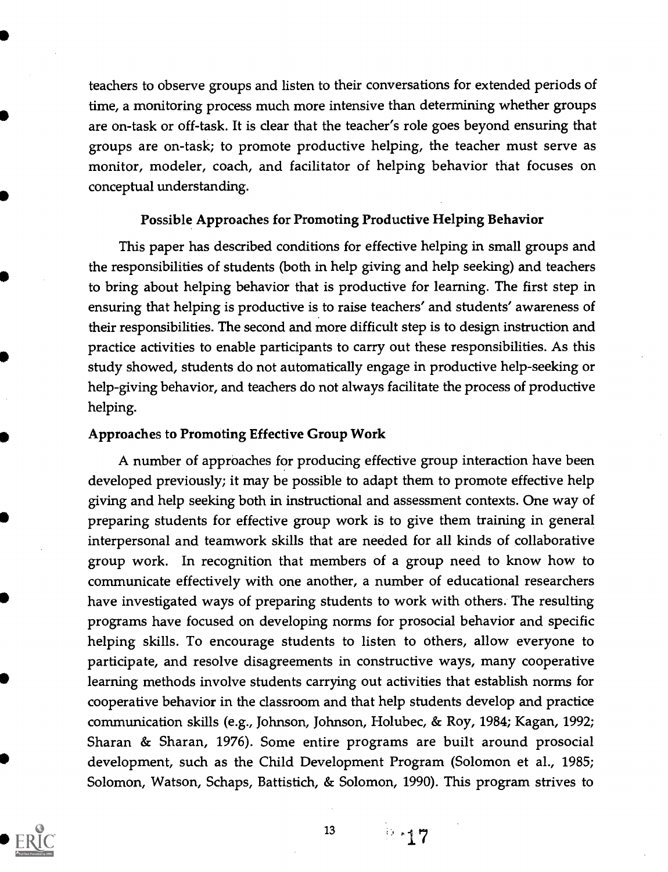teachers to observe groups and listen to their conversations for extended periods of time, a monitoring process much more intensive than determining whether groups are on-task or off-task. It is clear that the teacher's role goes beyond ensuring that groups are on-task; to promote productive helping, the teacher must serve as monitor, modeler, coach, and facilitator of helping behavior that focuses on conceptual understanding.

## Possible Approaches for Promoting Productive Helping Behavior

This paper has described conditions for effective helping in small groups and the responsibilities of students (both in help giving and help seeking) and teachers to bring about helping behavior that is productive for learning. The first step in ensuring that helping is productive is to raise teachers' and students' awareness of their responsibilities. The second and more difficult step is to design instruction and practice activities to enable participants to carry out these responsibilities. As this study showed, students do not automatically engage in productive help-seeking or help-giving behavior, and teachers do not always facilitate the process of productive helping.

## Approaches to Promoting Effective Group Work

A number of approaches for producing effective group interaction have been developed previously; it may be possible to adapt them to promote effective help giving and help seeking both in instructional and assessment contexts. One way of preparing students for effective group work is to give them training in general interpersonal and teamwork skills that are needed for all kinds of collaborative group work. In recognition that members of a group need to know how to communicate effectively with one another, a number of educational researchers have investigated ways of preparing students to work with others. The resulting programs have focused on developing norms for prosocial behavior and specific helping skills. To encourage students to listen to others, allow everyone to participate, and resolve disagreements in constructive ways, many cooperative learning methods involve students carrying out activities that establish norms for cooperative behavior in the classroom and that help students develop and practice communication skills (e.g., Johnson, Johnson, Holubec, & Roy, 1984; Kagan, 1992; Sharan & Sharan, 1976). Some entire programs are built around prosocial development, such as the Child Development Program (Solomon et al., 1985; Solomon, Watson, Schaps, Battistich, & Solomon, 1990). This program strives to



13

 $9 - 17$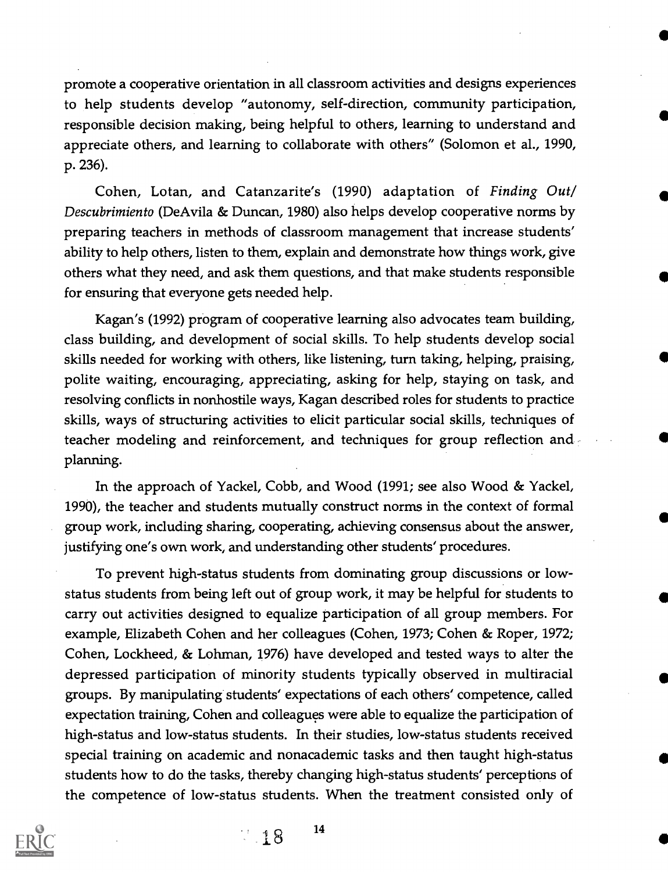promote a cooperative orientation in all classroom activities and designs experiences to help students develop "autonomy, self-direction, community participation, responsible decision making, being helpful to others, learning to understand and appreciate others, and learning to collaborate with others" (Solomon et al., 1990, p. 236).

Cohen, Lotan, and Catanzarite's (1990) adaptation of Finding Out/ Descubrimiento (DeAvila & Duncan, 1980) also helps develop cooperative norms by preparing teachers in methods of classroom management that increase students' ability to help others, listen to them, explain and demonstrate how things work, give others what they need, and ask them questions, and that make students responsible for ensuring that everyone gets needed help.

Kagan's (1992) program of cooperative learning also advocates team building, class building, and development of social skills. To help students develop social skills needed for working with others, like listening, turn taking, helping, praising, polite waiting, encouraging, appreciating, asking for help, staying on task, and resolving conflicts in nonhostile ways, Kagan described roles for students to practice skills, ways of structuring activities to elicit particular social skills, techniques of teacher modeling and reinforcement, and techniques for group reflection and planning.

In the approach of Yackel, Cobb, and Wood (1991; see also Wood & Yackel, 1990), the teacher and students mutually construct norms in the context of formal group work, including sharing, cooperating, achieving consensus about the answer, justifying one's own work, and understanding other students' procedures.

To prevent high-status students from dominating group discussions or lowstatus students from being left out of group work, it may be helpful for students to carry out activities designed to equalize participation of all group members. For example, Elizabeth Cohen and her colleagues (Cohen, 1973; Cohen & Roper, 1972; Cohen, Lockheed, & Lohman, 1976) have developed and tested ways to alter the depressed participation of minority students typically observed in multiracial groups. By manipulating students' expectations of each others' competence, called expectation training, Cohen and colleagues were able to equalize the participation of high-status and low-status students. In their studies, low-status students received special training on academic and nonacademic tasks and then taught high-status students how to do the tasks, thereby changing high-status students' perceptions of the competence of low-status students. When the treatment consisted only of



 $-18$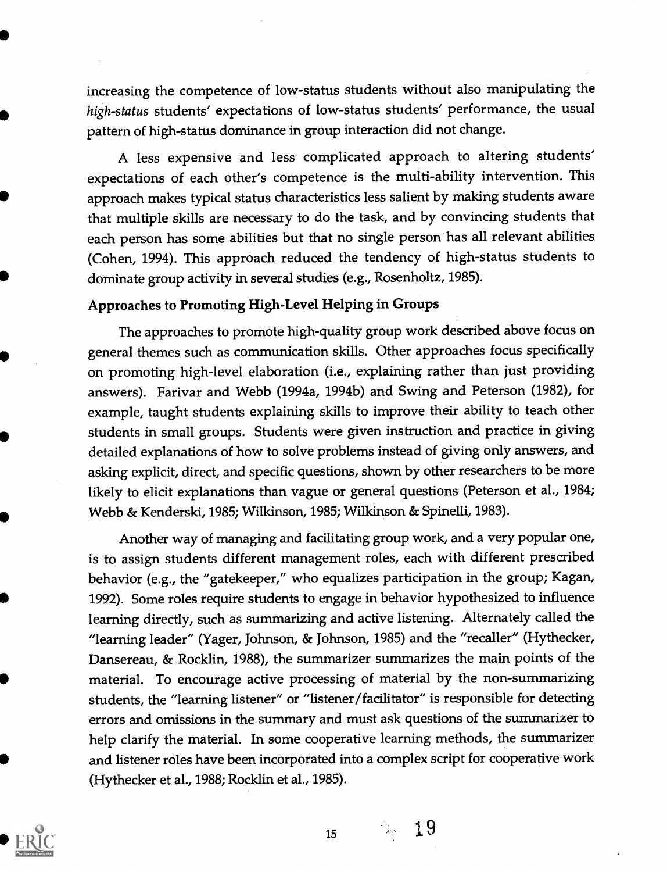increasing the competence of low-status students without also manipulating the high-status students' expectations of low-status students' performance, the usual pattern of high-status dominance in group interaction did not change.

A less expensive and less complicated approach to altering students' expectations of each other's competence is the multi-ability intervention. This approach makes typical status characteristics less salient by making students aware that multiple skills are necessary to do the task, and by convincing students that each person has some abilities but that no single person has all relevant abilities (Cohen, 1994). This approach reduced the tendency of high-status students to dominate group activity in several studies (e.g., Rosenholtz, 1985).

# Approaches to Promoting High-Level Helping in Groups

The approaches to promote high-quality group work described above focus on general themes such as communication skills. Other approaches focus specifically on promoting high-level elaboration (i.e., explaining rather than just providing answers). Farivar and Webb (1994a, 1994b) and Swing and Peterson (1982), for example, taught students explaining skills to improve their ability to teach other students in small groups. Students were given instruction and practice in giving detailed explanations of how to solve problems instead of giving only answers, and asking explicit, direct, and specific questions, shown by other researchers to be more likely to elicit explanations than vague or general questions (Peterson et al., 1984; Webb & Kenderski, 1985; Wilkinson, 1985; Wilkinson & Spinelli, 1983).

Another way of managing and facilitating group work, and a very popular one, is to assign students different management roles, each with different prescribed behavior (e.g., the "gatekeeper," who equalizes participation in the group; Kagan, 1992). Some roles require students to engage in behavior hypothesized to influence learning directly, such as summarizing and active listening. Alternately called the "learning leader" (Yager, Johnson, & Johnson, 1985) and the "recaller" (Hythecker, Dansereau, & Rocklin, 1988), the summarizer summarizes the main points of the material. To encourage active processing of material by the non-summarizing students, the "learning listener" or "listener/facilitator" is responsible for detecting errors and omissions in the summary and must ask questions of the summarizer to help clarify the material. In some cooperative learning methods, the summarizer and listener roles have been incorporated into a complex script for cooperative work (Hythecker et al., 1988; Rocklin et al., 1985).



15

19

 $\frac{1}{2}$  ,  $\frac{1}{2}$  ,  $\frac{1}{2}$  ,  $\frac{1}{2}$  ,  $\frac{1}{2}$  ,  $\frac{1}{2}$  ,  $\frac{1}{2}$  ,  $\frac{1}{2}$  ,  $\frac{1}{2}$  ,  $\frac{1}{2}$  ,  $\frac{1}{2}$  ,  $\frac{1}{2}$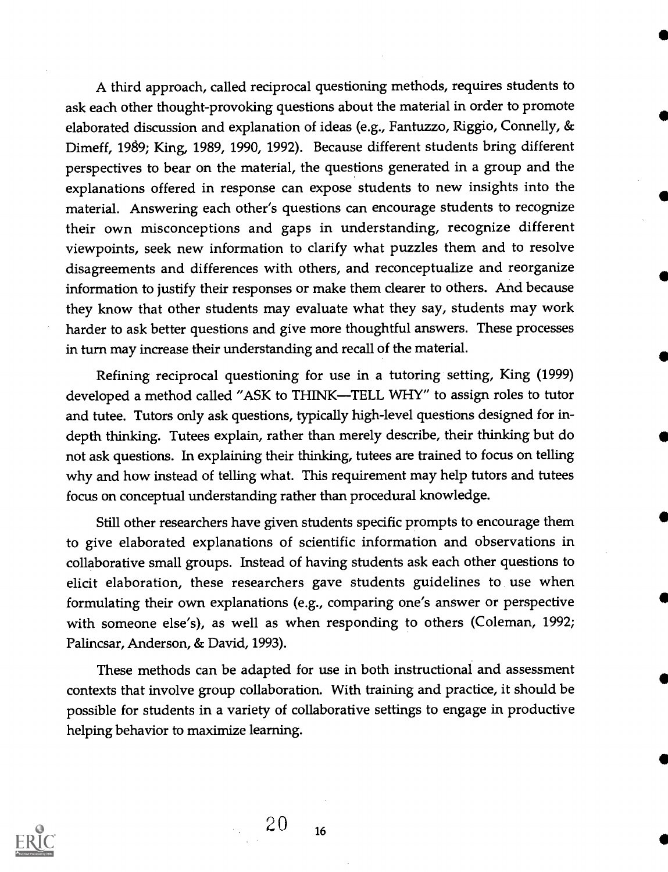A third approach, called reciprocal questioning methods, requires students to ask each other thought-provoking questions about the material in order to promote elaborated discussion and explanation of ideas (e.g., Fantuzzo, Riggio, Connelly, & Dimeff, 1989; King, 1989, 1990, 1992). Because different students bring different perspectives to bear on the material, the questions generated in a group and the explanations offered in response can expose students to new insights into the material. Answering each other's questions can encourage students to recognize their own misconceptions and gaps in understanding, recognize different viewpoints, seek new information to clarify what puzzles them and to resolve disagreements and differences with others, and reconceptualize and reorganize information to justify their responses or make them clearer to others. And because they know that other students may evaluate what they say, students may work harder to ask better questions and give more thoughtful answers. These processes in turn may increase their understanding and recall of the material.

Refining reciprocal questioning for use in a tutoring setting, King (1999) developed a method called "ASK to THINK—TELL WHY" to assign roles to tutor and tutee. Tutors only ask questions, typically high-level questions designed for indepth thinking. Tutees explain, rather than merely describe, their thinking but do not ask questions. In explaining their thinking, tutees are trained to focus on telling why and how instead of telling what. This requirement may help tutors and tutees focus on conceptual understanding rather than procedural knowledge.

Still other researchers have given students specific prompts to encourage them to give elaborated explanations of scientific information and observations in collaborative small groups. Instead of having students ask each other questions to elicit elaboration, these researchers gave students guidelines to use when formulating their own explanations (e.g., comparing one's answer or perspective with someone else's), as well as when responding to others (Coleman, 1992; Palincsar, Anderson, & David, 1993).

These methods can be adapted for use in both instructional and assessment contexts that involve group collaboration. With training and practice, it should be possible for students in a variety of collaborative settings to engage in productive helping behavior to maximize learning.

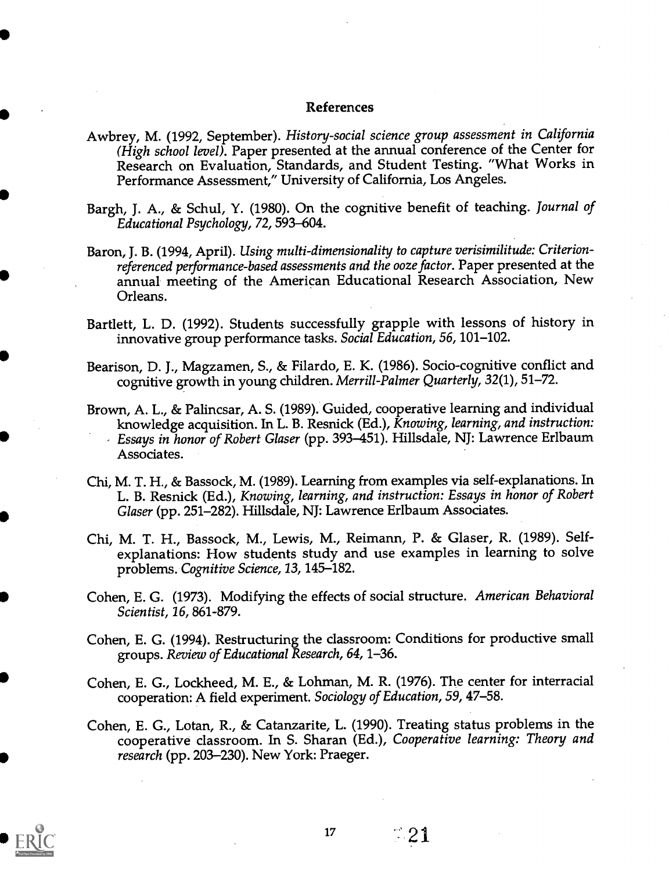#### References

- Awbrey, M. (1992, September). History-social science group assessment in California (High school level). Paper presented at the annual conference of the Center for Research on Evaluation, Standards, and Student Testing. "What Works in Performance Assessment," University of California, Los Angeles.
- Bargh, J. A., & Schul, Y. (1980). On the cognitive benefit of teaching. Journal of Educational Psychology, 72,593-604.
- Baron, J. B. (1994, April). Using multi-dimensionality to capture verisimilitude: Criterionreferenced performance-based assessments and the ooze factor. Paper presented at the annual meeting of the American Educational Research Association, New Orleans.
- Bartlett, L. D. (1992). Students successfully grapple with lessons of history in innovative group performance tasks. Social Education, 56,101-102.
- Bearison, D. J., Magzamen, S., & Filardo, E. K. (1986). Socio-cognitive conflict and cognitive growth in young children. Merrill-Palmer Quarterly, 32(1), 51-72.
- Brown, A. L., & Palincsar, A. S. (1989). Guided, cooperative learning and individual knowledge acquisition. In L. B. Resnick (Ed.), Knowing, learning, and instruction: Essays in honor of Robert Glaser (pp. 393-451). Hillsdale, NJ: Lawrence Erlbaum Associates.
- Chi, M. T. H., & Bassock, M. (1989). Learning from examples via self-explanations. In L. B. Resnick (Ed.), Knowing, learning, and instruction: Essays in honor of Robert Glaser (pp. 251-282). Hillsdale, NJ: Lawrence Erlbaum Associates.
- Chi, M. T. H., Bassock, M., Lewis, M., Reimann, P. & Glaser, R. (1989). Selfexplanations: How students study and use examples in learning to solve problems. Cognitive Science, 13,145-182.
- Cohen, E. G. (1973). Modifying the effects of social structure. American Behavioral Scientist, 16,861-879.
- Cohen, E. G. (1994). Restructuring the classroom: Conditions for productive small groups. Review of Educational Research, 64, 1-36.

Cohen, E. G., Lockheed, M. E., & Lohman, M. R. (1976). The center for interracial cooperation: A field experiment. Sociology of Education, 59,47-58.

Cohen, E. G., Lotan, R., & Catanzarite, L. (1990). Treating status problems in the cooperative classroom. In S. Sharan (Ed.), Cooperative learning: Theory and research (pp. 203-230). New York: Praeger.

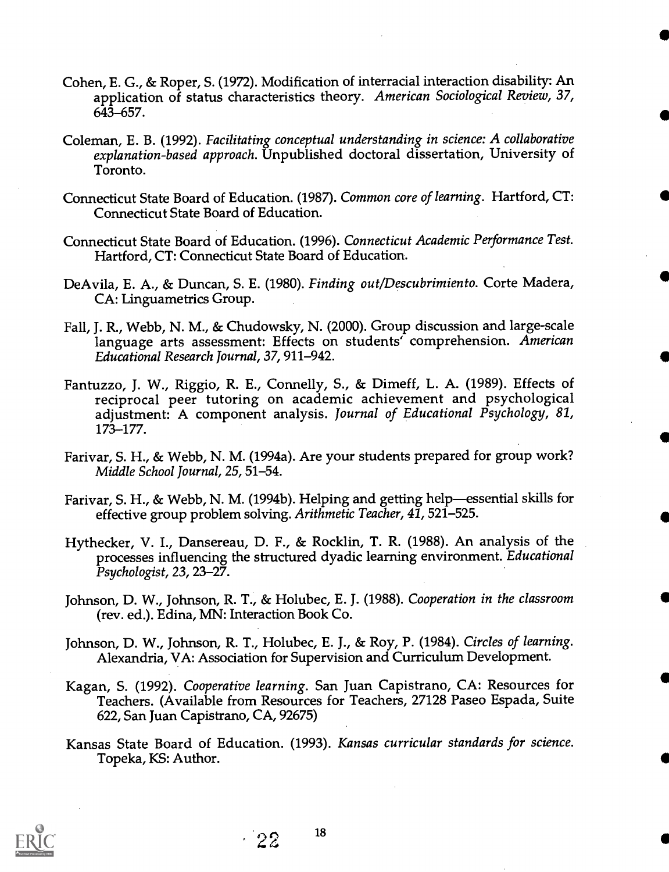- Cohen, E. G., & Roper, S. (1972). Modification of interracial interaction disability: An application of status characteristics theory. American Sociological Review, 37, 643-657.
- Coleman, E. B. (1992). Facilitating conceptual understanding in science: A collaborative explanation-based approach. Unpublished doctoral dissertation, University of Toronto.
- Connecticut State Board of Education. (1987). Common core of learning. Hartford, CT: Connecticut State Board of Education.
- Connecticut State Board of Education. (1996). Connecticut Academic Performance Test. Hartford, CT: Connecticut State Board of Education.
- DeAvila, E. A., & Duncan, S. E. (1980). Finding out/Descubrimiento. Corte Madera, CA: Linguametrics Group.
- Fall, J. R., Webb, N. M., & Chudowsky, N. (2000). Group discussion and large-scale language arts assessment: Effects on students' comprehension. American Educational Research Journal, 37, 911-942.
- Fantuzzo, J. W., Riggio, R. E., Connelly, S., & Dimeff, L. A. (1989). Effects of reciprocal peer tutoring on academic achievement and psychological adjustment: A component analysis. Journal of Educational Psychology, 81, 173-177.
- Farivar, S. H., & Webb, N. M. (1994a). Are your students prepared for group work? Middle School Journal, 25, 51-54.
- Farivar, S. H., & Webb, N. M. (1994b). Helping and getting help—essential skills for effective group problem solving. Arithmetic Teacher, 41, 521-525.

41

- Hythecker, V. I., Dansereau, D. F., & Rocklin, T. R. (1988). An analysis of the processes influencing the structured dyadic learning environment. Educational Psychologist, 23, 23-27.
- Johnson, D. W., Johnson, R. T., & Holubec, E. J. (1988). Cooperation in the classroom (rev. ed.). Edina, MN: Interaction Book Co.
- Johnson, D. W., Johnson, R. T., Holubec, E. J., & Roy, P. (1984). Circles of learning. Alexandria, VA: Association for Supervision and Curriculum Development.
- Kagan, S. (1992). Cooperative learning. San Juan Capistrano, CA: Resources for Teachers. (Available from Resources for Teachers, 27128 Paseo Espada, Suite 622, San Juan Capistrano, CA, 92675)
- Kansas State Board of Education. (1993). Kansas curricular standards for science. Topeka, KS: Author.



18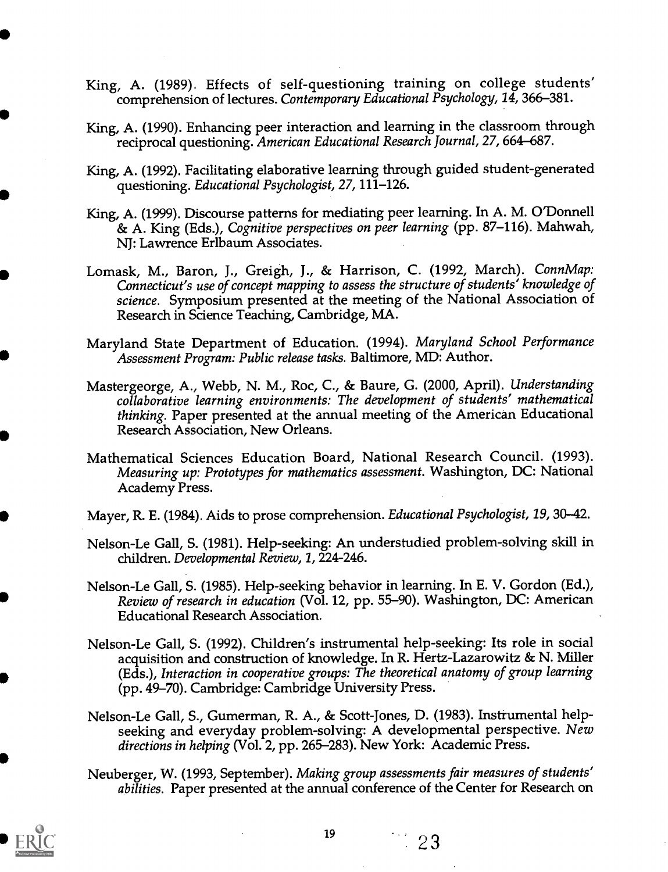- King, A. (1989). Effects of self-questioning training on college students' comprehension of lectures. Contemporary Educational Psychology, 14, 366-381.
- King, A. (1990). Enhancing peer interaction and learning in the classroom through reciprocal questioning. American Educational Research Journal, 27,664-687.
- King, A. (1992). Facilitating elaborative learning through guided student-generated questioning. Educational Psychologist, 27, 111-126.
- King, A. (1999). Discourse patterns for mediating peer learning. In A. M. O'Donnell & A. King (Eds.), Cognitive perspectives on peer learning (pp. 87-116). Mahwah, NI: Lawrence Erlbaum Associates.
- Lomask, M., Baron, J., Greigh, J., & Harrison, C. (1992, March). ConnMap: Connecticut's use of concept mapping to assess the structure of students' knowledge of science. Symposium presented at the meeting of the National Association of Research in Science Teaching, Cambridge, MA.
- Maryland State Department of Education. (1994). Maryland School Performance Assessment Program: Public release tasks. Baltimore, MD: Author.
- Mastergeorge, A., Webb, N. M., Roc, C., & Baure, G. (2000, April). Understanding collaborative learning environments: The development of students' mathematical thinking. Paper presented at the annual meeting of the American Educational Research Association, New Orleans.
- Mathematical Sciences Education Board, National Research Council. (1993). Measuring up: Prototypes for mathematics assessment. Washington, DC: National Academy Press.
- Mayer, R. E. (1984). Aids to prose comprehension. Educational Psychologist, 19,30-42.
- Nelson-Le Gall, S. (1981). Help-seeking: An understudied problem-solving skill in children. Developmental Review, 1, 224-246.
- Nelson-Le Gall, S. (1985). Help-seeking behavior in learning. In E. V. Gordon (Ed.), Review of research in education (Vol. 12, pp. 55-90). Washington, DC: American Educational Research Association.
- Nelson-Le Gall, S. (1992). Children's instrumental help-seeking: Its role in social acquisition and construction of knowledge. In R. Hertz-Lazarowitz & N. Miller (Eds.), Interaction in cooperative groups: The theoretical anatomy of group learning (pp. 49-70). Cambridge: Cambridge University Press.
- Nelson-Le Gall, S., Gumerman, R. A., & Scott-Jones, D. (1983). Instrumental helpseeking and everyday problem-solving: A developmental perspective. New directions in helping (Vol. 2, pp. 265-283). New York: Academic Press.
- Neuberger, W. (1993, September). Making group assessments fair measures of students' abilities. Paper presented at the annual conference of the Center for Research on

 $\sim$  23

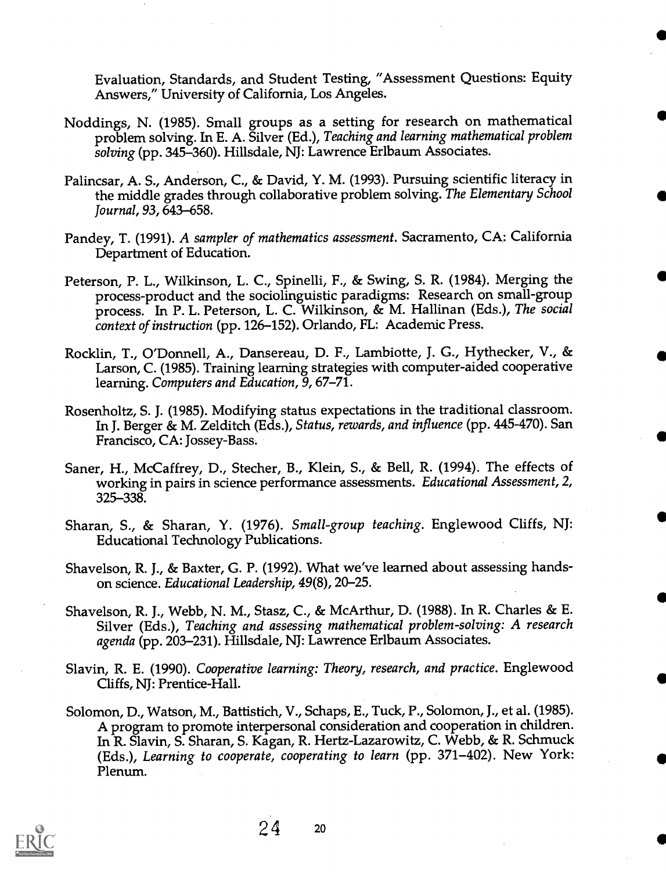Evaluation, Standards, and Student Testing, "Assessment Questions: Equity Answers," University of California, Los Angeles.

- Noddings, N. (1985). Small groups as a setting for research on mathematical problem solving. In E. A. Silver (Ed.), Teaching and learning mathematical problem solving (pp. 345-360). Hillsdale, NJ: Lawrence Erlbaum Associates.
- Palincsar, A. S., Anderson, C., & David, Y. M. (1993). Pursuing scientific literacy in the middle grades through collaborative problem solving. The Elementary School Journal, 93,643-658.
- Pandey, T. (1991). A sampler of mathematics assessment. Sacramento, CA: California Department of Education.
- Peterson, P. L., Wilkinson, L. C., Spinelli, F., & Swing, S. R. (1984). Merging the process-product and the sociolinguistic paradigms: Research on small-group process. In P. L. Peterson, L. C. Wilkinson, & M. Hallinan (Eds.), The social context of instruction (pp. 126-152). Orlando, FL: Academic Press.
- Rocklin, T., O'Donnell, A., Dansereau, D. F., Lambiotte, J. G., Hythecker, V., & Larson, C. (1985). Training learning strategies with computer-aided cooperative learning. Computers and Education, 9, 67-71.
- Rosenholtz, S. J. (1985). Modifying status expectations in the traditional classroom. In J. Berger & M. Zelditch (Eds.), Status, rewards, and influence (pp. 445-470). San Francisco, CA: Jossey-Bass.
- Saner, H., McCaffrey, D., Stecher, B., Klein, S., & Bell, R. (1994). The effects of working in pairs in science performance assessments. Educational Assessment, 2, 325-338.
- Sharan, S., & Sharan, Y. (1976). Small-group teaching. Englewood Cliffs, NJ: Educational Technology Publications.
- Shavelson, R. J., & Baxter, G. P. (1992). What we've learned about assessing handson science. Educational Leadership, 49(8), 20-25.
- Shavelson, R. J., Webb, N. M., Stasz, C., & McArthur, D. (1988). In R. Charles & E. Silver (Eds.), Teaching and assessing mathematical problem-solving: A research agenda (pp. 203-231). Hillsdale, NJ: Lawrence Erlbaum Associates.
- Slavin, R. E. (1990). Cooperative learning: Theory, research, and practice. Englewood Cliffs, NJ: Prentice-Hall.
- Solomon, D., Watson, M., Battistich, V., Schaps, E., Tuck, P., Solomon, J., et al. (1985). A program to promote interpersonal consideration and cooperation in children. In R. Slavin, S. Sharan, S. Kagan, R. Hertz-Lazarowitz, C. Webb, & R. Schmuck (Eds.), Learning to cooperate, cooperating to learn (pp. 371-402). New York: Plenum.

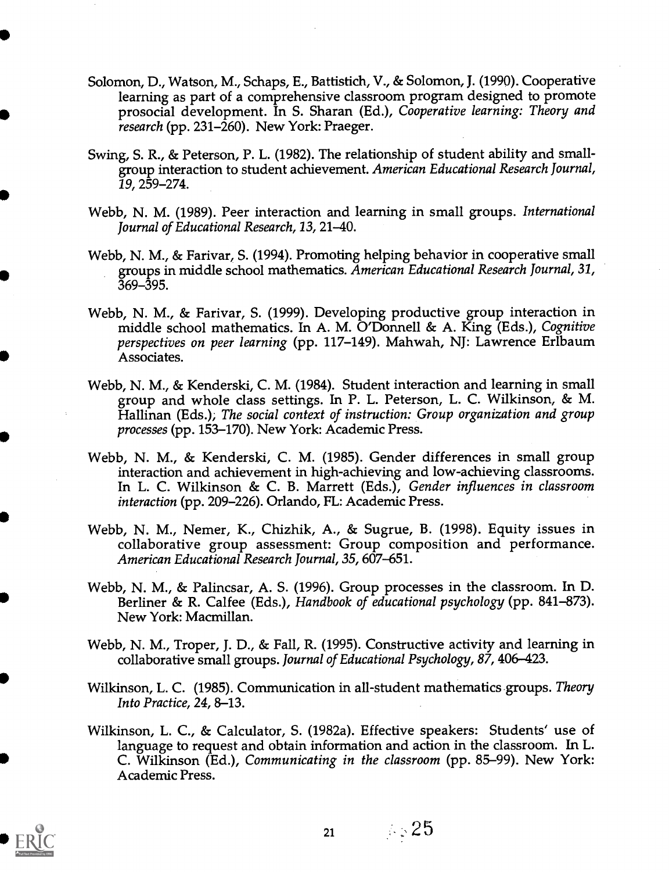- Solomon, D., Watson, M., Schaps, E., Battistich, V., & Solomon, J. (1990). Cooperative learning as part of a comprehensive classroom program designed to promote prosocial development. In S. Sharan (Ed.), Cooperative learning: Theory and research (pp. 231–260). New York: Praeger.
- Swing, S. R., & Peterson, P. L. (1982). The relationship of student ability and smallgroup interaction to student achievement. American Educational Research Journal, 19,259-274.
- Webb, N. M. (1989). Peer interaction and learning in small groups. International Journal of Educational Research, 13, 21–40.
- Webb, N. M., & Farivar, S. (1994). Promoting helping behavior in cooperative small groups in middle school mathematics. American Educational Research Journal, 31, 369-395.
- Webb, N. M., & Farivar, S. (1999). Developing productive group interaction in middle school mathematics. In A. M. O'Donnell & A. King (Eds.), Cognitive perspectives on peer learning (pp. 117-149). Mahwah, NJ: Lawrence Erlbaum Associates.
- Webb, N. M., & Kenderski, C. M. (1984). Student interaction and learning in small group and whole class settings. In P. L. Peterson, L. C. Wilkinson, & M. Hallinan (Eds.); The social context of instruction: Group organization and group processes (pp. 153-170). New York: Academic Press.
- Webb, N. M., & Kenderski, C. M. (1985). Gender differences in small group interaction and achievement in high-achieving and low-achieving classrooms. In L. C. Wilkinson & C. B. Marrett (Eds.), Gender influences in classroom interaction (pp. 209-226). Orlando, FL: Academic Press.
- Webb, N. M., Nemer, K., Chizhik, A., & Sugrue, B. (1998). Equity issues in collaborative group assessment: Group composition and performance. American Educational Research Journal, 35,607-651.
- Webb, N. M., & Palincsar, A. S. (1996). Group processes in the classroom. In D. Berliner & R. Calfee (Eds.), Handbook of educational psychology (pp. 841-873). New York: Macmillan.
- Webb, N. M., Troper, J. D., & Fall, R. (1995). Constructive activity and learning in collaborative small groups. Journal of Educational Psychology, 87, 406-423.
- Wilkinson, L. C. (1985). Communication in all-student mathematics groups. Theory Into Practice, 24, 8-13.
- Wilkinson, L. C., & Calculator, S. (1982a). Effective speakers: Students' use of language to request and obtain information and action in the classroom. In L. C. Wilkinson (Ed.), Communicating in the classroom (pp. 85-99). New York: Academic Press.



 $\gg 25$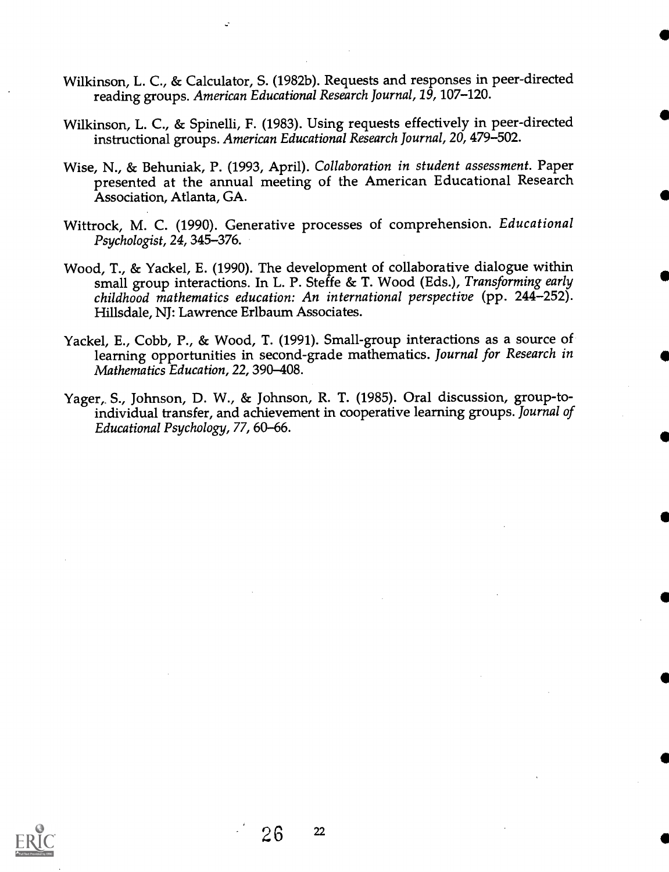- Wilkinson, L. C., & Calculator, S. (1982b). Requests and responses in peer-directed reading groups. American Educational Research Journal, 19, 107-120.
- Wilkinson, L. C., & Spinelli, F. (1983). Using requests effectively in peer-directed instructional groups. American Educational Research Journal, 20, 479-502.
- Wise, N., & Behuniak, P. (1993, April). Collaboration in student assessment. Paper presented at the annual meeting of the American Educational Research Association, Atlanta, GA.
- Wittrock, M. C. (1990). Generative processes of comprehension. Educational Psychologist, 24, 345-376.
- Wood, T., & Yackel, E. (1990). The development of collaborative dialogue within small group interactions. In L. P. Steffe & T. Wood (Eds.), Transforming early childhood mathematics education: An international perspective (pp. 244-252). Hillsdale, NJ: Lawrence Erlbaum Associates.
- Yackel, E., Cobb, P., & Wood, T. (1991). Small-group interactions as a source of learning opportunities in second-grade mathematics. Journal for Research in Mathematics Education, 22, 390-408.
- Yager,. S., Johnson, D. W., & Johnson, R. T. (1985). Oral discussion, group-toindividual transfer, and achievement in cooperative learning groups. Journal of Educational Psychology, 77, 60-66.

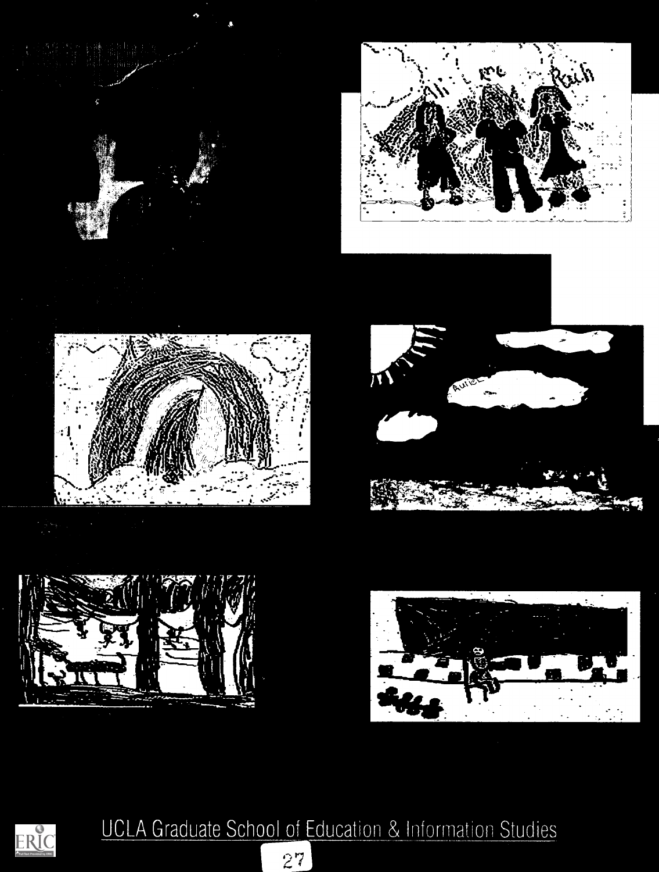

















UCLA Graduate School of Education & Information Studies

 $\overline{27}$